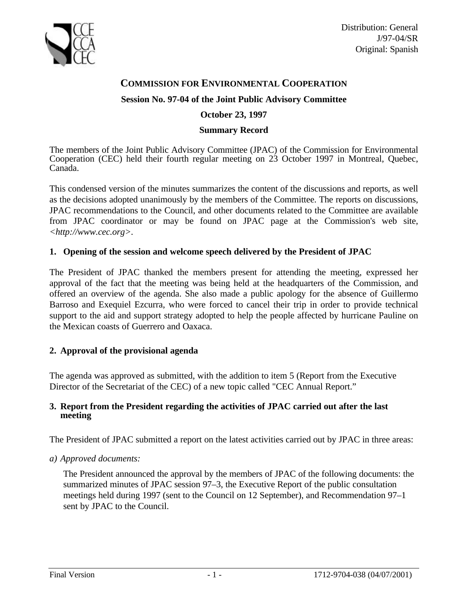

# **COMMISSION FOR ENVIRONMENTAL COOPERATION**

### **Session No. 97-04 of the Joint Public Advisory Committee**

### **October 23, 1997**

#### **Summary Record**

The members of the Joint Public Advisory Committee (JPAC) of the Commission for Environmental Cooperation (CEC) held their fourth regular meeting on 23 October 1997 in Montreal, Quebec, Canada.

This condensed version of the minutes summarizes the content of the discussions and reports, as well as the decisions adopted unanimously by the members of the Committee. The reports on discussions, JPAC recommendations to the Council, and other documents related to the Committee are available from JPAC coordinator or may be found on JPAC page at the Commission's web site, *<http://www.cec.org>.*

### **1. Opening of the session and welcome speech delivered by the President of JPAC**

The President of JPAC thanked the members present for attending the meeting, expressed her approval of the fact that the meeting was being held at the headquarters of the Commission, and offered an overview of the agenda. She also made a public apology for the absence of Guillermo Barroso and Exequiel Ezcurra, who were forced to cancel their trip in order to provide technical support to the aid and support strategy adopted to help the people affected by hurricane Pauline on the Mexican coasts of Guerrero and Oaxaca.

# **2. Approval of the provisional agenda**

The agenda was approved as submitted, with the addition to item 5 (Report from the Executive Director of the Secretariat of the CEC) of a new topic called "CEC Annual Report."

#### **3. Report from the President regarding the activities of JPAC carried out after the last meeting**

The President of JPAC submitted a report on the latest activities carried out by JPAC in three areas:

#### *a) Approved documents:*

The President announced the approval by the members of JPAC of the following documents: the summarized minutes of JPAC session 97–3, the Executive Report of the public consultation meetings held during 1997 (sent to the Council on 12 September), and Recommendation 97–1 sent by JPAC to the Council.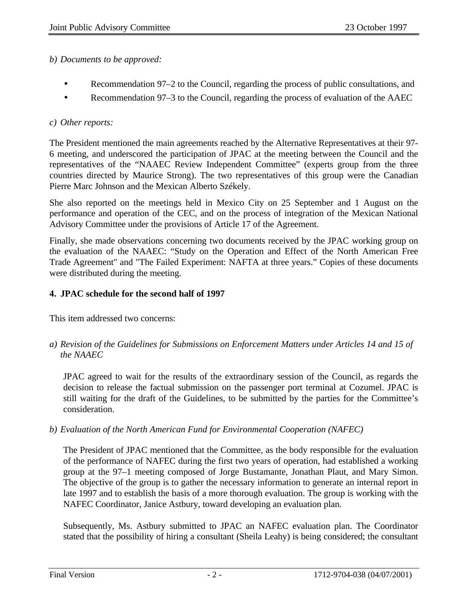# *b) Documents to be approved:*

- Recommendation 97–2 to the Council, regarding the process of public consultations, and
- Recommendation 97–3 to the Council, regarding the process of evaluation of the AAEC

# *c) Other reports:*

The President mentioned the main agreements reached by the Alternative Representatives at their 97- 6 meeting, and underscored the participation of JPAC at the meeting between the Council and the representatives of the "NAAEC Review Independent Committee" (experts group from the three countries directed by Maurice Strong). The two representatives of this group were the Canadian Pierre Marc Johnson and the Mexican Alberto Székely.

She also reported on the meetings held in Mexico City on 25 September and 1 August on the performance and operation of the CEC, and on the process of integration of the Mexican National Advisory Committee under the provisions of Article 17 of the Agreement.

Finally, she made observations concerning two documents received by the JPAC working group on the evaluation of the NAAEC: "Study on the Operation and Effect of the North American Free Trade Agreement" and "The Failed Experiment: NAFTA at three years." Copies of these documents were distributed during the meeting.

# **4. JPAC schedule for the second half of 1997**

This item addressed two concerns:

*a) Revision of the Guidelines for Submissions on Enforcement Matters under Articles 14 and 15 of the NAAEC*

JPAC agreed to wait for the results of the extraordinary session of the Council, as regards the decision to release the factual submission on the passenger port terminal at Cozumel. JPAC is still waiting for the draft of the Guidelines, to be submitted by the parties for the Committee's consideration.

*b) Evaluation of the North American Fund for Environmental Cooperation (NAFEC)*

The President of JPAC mentioned that the Committee, as the body responsible for the evaluation of the performance of NAFEC during the first two years of operation, had established a working group at the 97–1 meeting composed of Jorge Bustamante, Jonathan Plaut, and Mary Simon. The objective of the group is to gather the necessary information to generate an internal report in late 1997 and to establish the basis of a more thorough evaluation. The group is working with the NAFEC Coordinator, Janice Astbury, toward developing an evaluation plan.

Subsequently, Ms. Astbury submitted to JPAC an NAFEC evaluation plan. The Coordinator stated that the possibility of hiring a consultant (Sheila Leahy) is being considered; the consultant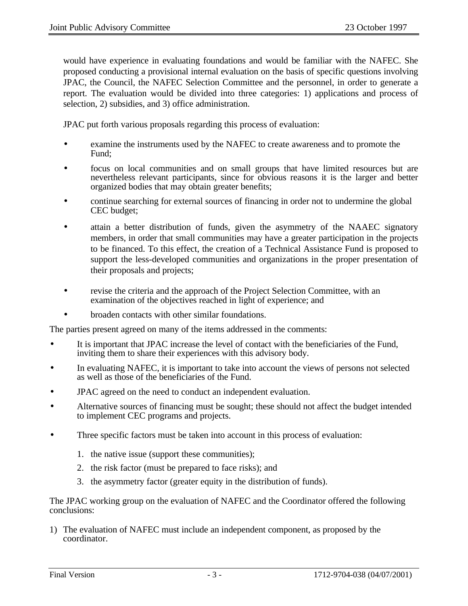would have experience in evaluating foundations and would be familiar with the NAFEC. She proposed conducting a provisional internal evaluation on the basis of specific questions involving JPAC, the Council, the NAFEC Selection Committee and the personnel, in order to generate a report. The evaluation would be divided into three categories: 1) applications and process of selection, 2) subsidies, and 3) office administration.

JPAC put forth various proposals regarding this process of evaluation:

- examine the instruments used by the NAFEC to create awareness and to promote the Fund;
- focus on local communities and on small groups that have limited resources but are nevertheless relevant participants, since for obvious reasons it is the larger and better organized bodies that may obtain greater benefits;
- continue searching for external sources of financing in order not to undermine the global CEC budget;
- attain a better distribution of funds, given the asymmetry of the NAAEC signatory members, in order that small communities may have a greater participation in the projects to be financed. To this effect, the creation of a Technical Assistance Fund is proposed to support the less-developed communities and organizations in the proper presentation of their proposals and projects;
- revise the criteria and the approach of the Project Selection Committee, with an examination of the objectives reached in light of experience; and
- broaden contacts with other similar foundations.

The parties present agreed on many of the items addressed in the comments:

- It is important that JPAC increase the level of contact with the beneficiaries of the Fund, inviting them to share their experiences with this advisory body.
- In evaluating NAFEC, it is important to take into account the views of persons not selected as well as those of the beneficiaries of the Fund.
- JPAC agreed on the need to conduct an independent evaluation.
- Alternative sources of financing must be sought; these should not affect the budget intended to implement CEC programs and projects.
- Three specific factors must be taken into account in this process of evaluation:
	- 1. the native issue (support these communities);
	- 2. the risk factor (must be prepared to face risks); and
	- 3. the asymmetry factor (greater equity in the distribution of funds).

The JPAC working group on the evaluation of NAFEC and the Coordinator offered the following conclusions:

1) The evaluation of NAFEC must include an independent component, as proposed by the coordinator.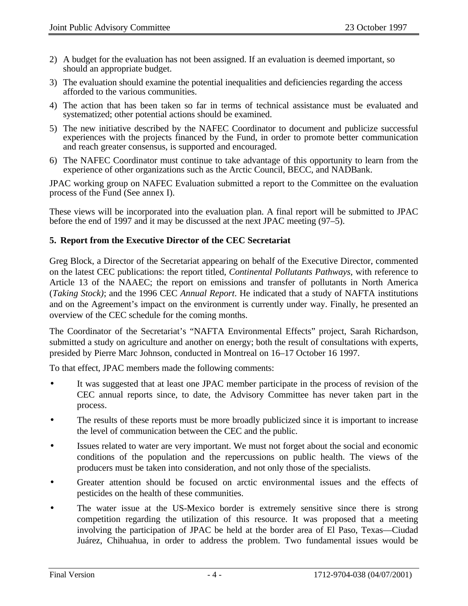- 2) A budget for the evaluation has not been assigned. If an evaluation is deemed important, so should an appropriate budget.
- 3) The evaluation should examine the potential inequalities and deficiencies regarding the access afforded to the various communities.
- 4) The action that has been taken so far in terms of technical assistance must be evaluated and systematized; other potential actions should be examined.
- 5) The new initiative described by the NAFEC Coordinator to document and publicize successful experiences with the projects financed by the Fund, in order to promote better communication and reach greater consensus, is supported and encouraged.
- 6) The NAFEC Coordinator must continue to take advantage of this opportunity to learn from the experience of other organizations such as the Arctic Council, BECC, and NADBank.

JPAC working group on NAFEC Evaluation submitted a report to the Committee on the evaluation process of the Fund (See annex I).

These views will be incorporated into the evaluation plan. A final report will be submitted to JPAC before the end of 1997 and it may be discussed at the next JPAC meeting (97–5).

# **5. Report from the Executive Director of the CEC Secretariat**

Greg Block, a Director of the Secretariat appearing on behalf of the Executive Director, commented on the latest CEC publications: the report titled, *Continental Pollutants Pathways,* with reference to Article 13 of the NAAEC; the report on emissions and transfer of pollutants in North America (*Taking Stock)*; and the 1996 CEC *Annual Report*. He indicated that a study of NAFTA institutions and on the Agreement's impact on the environment is currently under way. Finally, he presented an overview of the CEC schedule for the coming months.

The Coordinator of the Secretariat's "NAFTA Environmental Effects" project, Sarah Richardson, submitted a study on agriculture and another on energy; both the result of consultations with experts, presided by Pierre Marc Johnson, conducted in Montreal on 16–17 October 16 1997.

To that effect, JPAC members made the following comments:

- It was suggested that at least one JPAC member participate in the process of revision of the CEC annual reports since, to date, the Advisory Committee has never taken part in the process.
- The results of these reports must be more broadly publicized since it is important to increase the level of communication between the CEC and the public.
- Issues related to water are very important. We must not forget about the social and economic conditions of the population and the repercussions on public health. The views of the producers must be taken into consideration, and not only those of the specialists.
- Greater attention should be focused on arctic environmental issues and the effects of pesticides on the health of these communities.
- The water issue at the US-Mexico border is extremely sensitive since there is strong competition regarding the utilization of this resource. It was proposed that a meeting involving the participation of JPAC be held at the border area of El Paso, Texas—Ciudad Juárez, Chihuahua, in order to address the problem. Two fundamental issues would be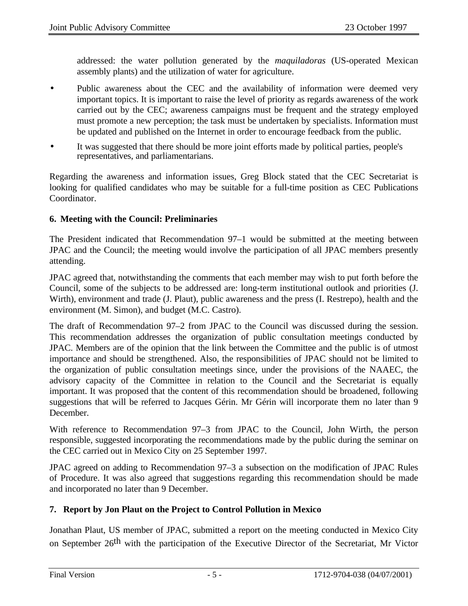addressed: the water pollution generated by the *maquiladoras* (US-operated Mexican assembly plants) and the utilization of water for agriculture.

- Public awareness about the CEC and the availability of information were deemed very important topics. It is important to raise the level of priority as regards awareness of the work carried out by the CEC; awareness campaigns must be frequent and the strategy employed must promote a new perception; the task must be undertaken by specialists. Information must be updated and published on the Internet in order to encourage feedback from the public.
- It was suggested that there should be more joint efforts made by political parties, people's representatives, and parliamentarians.

Regarding the awareness and information issues, Greg Block stated that the CEC Secretariat is looking for qualified candidates who may be suitable for a full-time position as CEC Publications Coordinator.

# **6. Meeting with the Council: Preliminaries**

The President indicated that Recommendation 97–1 would be submitted at the meeting between JPAC and the Council; the meeting would involve the participation of all JPAC members presently attending.

JPAC agreed that, notwithstanding the comments that each member may wish to put forth before the Council, some of the subjects to be addressed are: long-term institutional outlook and priorities (J. Wirth), environment and trade (J. Plaut), public awareness and the press (I. Restrepo), health and the environment (M. Simon), and budget (M.C. Castro).

The draft of Recommendation 97–2 from JPAC to the Council was discussed during the session. This recommendation addresses the organization of public consultation meetings conducted by JPAC. Members are of the opinion that the link between the Committee and the public is of utmost importance and should be strengthened. Also, the responsibilities of JPAC should not be limited to the organization of public consultation meetings since, under the provisions of the NAAEC, the advisory capacity of the Committee in relation to the Council and the Secretariat is equally important. It was proposed that the content of this recommendation should be broadened, following suggestions that will be referred to Jacques Gérin. Mr Gérin will incorporate them no later than 9 December.

With reference to Recommendation 97–3 from JPAC to the Council, John Wirth, the person responsible, suggested incorporating the recommendations made by the public during the seminar on the CEC carried out in Mexico City on 25 September 1997.

JPAC agreed on adding to Recommendation 97–3 a subsection on the modification of JPAC Rules of Procedure. It was also agreed that suggestions regarding this recommendation should be made and incorporated no later than 9 December.

# **7. Report by Jon Plaut on the Project to Control Pollution in Mexico**

Jonathan Plaut, US member of JPAC, submitted a report on the meeting conducted in Mexico City on September 26th with the participation of the Executive Director of the Secretariat, Mr Victor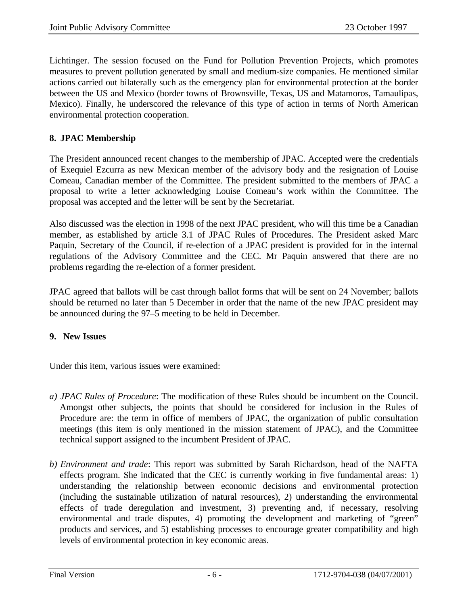Lichtinger. The session focused on the Fund for Pollution Prevention Projects, which promotes measures to prevent pollution generated by small and medium-size companies. He mentioned similar actions carried out bilaterally such as the emergency plan for environmental protection at the border between the US and Mexico (border towns of Brownsville, Texas, US and Matamoros, Tamaulipas, Mexico). Finally, he underscored the relevance of this type of action in terms of North American environmental protection cooperation.

# **8. JPAC Membership**

The President announced recent changes to the membership of JPAC. Accepted were the credentials of Exequiel Ezcurra as new Mexican member of the advisory body and the resignation of Louise Comeau, Canadian member of the Committee. The president submitted to the members of JPAC a proposal to write a letter acknowledging Louise Comeau's work within the Committee. The proposal was accepted and the letter will be sent by the Secretariat.

Also discussed was the election in 1998 of the next JPAC president, who will this time be a Canadian member, as established by article 3.1 of JPAC Rules of Procedures. The President asked Marc Paquin, Secretary of the Council, if re-election of a JPAC president is provided for in the internal regulations of the Advisory Committee and the CEC. Mr Paquin answered that there are no problems regarding the re-election of a former president.

JPAC agreed that ballots will be cast through ballot forms that will be sent on 24 November; ballots should be returned no later than 5 December in order that the name of the new JPAC president may be announced during the 97–5 meeting to be held in December.

# **9. New Issues**

Under this item, various issues were examined:

- *a) JPAC Rules of Procedure*: The modification of these Rules should be incumbent on the Council. Amongst other subjects, the points that should be considered for inclusion in the Rules of Procedure are: the term in office of members of JPAC, the organization of public consultation meetings (this item is only mentioned in the mission statement of JPAC), and the Committee technical support assigned to the incumbent President of JPAC.
- *b) Environment and trade*: This report was submitted by Sarah Richardson, head of the NAFTA effects program. She indicated that the CEC is currently working in five fundamental areas: 1) understanding the relationship between economic decisions and environmental protection (including the sustainable utilization of natural resources), 2) understanding the environmental effects of trade deregulation and investment, 3) preventing and, if necessary, resolving environmental and trade disputes, 4) promoting the development and marketing of "green" products and services, and 5) establishing processes to encourage greater compatibility and high levels of environmental protection in key economic areas.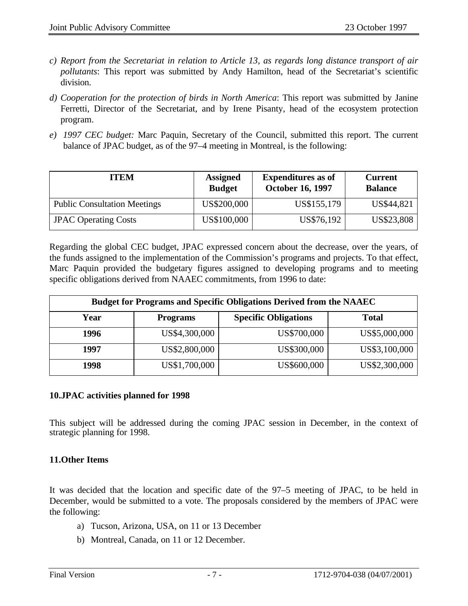- *c) Report from the Secretariat in relation to Article 13, as regards long distance transport of air pollutants*: This report was submitted by Andy Hamilton, head of the Secretariat's scientific division.
- *d) Cooperation for the protection of birds in North America*: This report was submitted by Janine Ferretti, Director of the Secretariat, and by Irene Pisanty, head of the ecosystem protection program.
- *e) 1997 CEC budget:* Marc Paquin, Secretary of the Council, submitted this report. The current balance of JPAC budget, as of the 97–4 meeting in Montreal, is the following:

| <b>ITEM</b>                         | <b>Assigned</b><br><b>Budget</b> | <b>Expenditures</b> as of<br><b>October 16, 1997</b> | <b>Current</b><br><b>Balance</b> |
|-------------------------------------|----------------------------------|------------------------------------------------------|----------------------------------|
| <b>Public Consultation Meetings</b> | US\$200,000                      | US\$155,179                                          | US\$44,821                       |
| <b>JPAC Operating Costs</b>         | US\$100,000                      | US\$76,192                                           | US\$23,808                       |

Regarding the global CEC budget, JPAC expressed concern about the decrease, over the years, of the funds assigned to the implementation of the Commission's programs and projects. To that effect, Marc Paquin provided the budgetary figures assigned to developing programs and to meeting specific obligations derived from NAAEC commitments, from 1996 to date:

| <b>Budget for Programs and Specific Obligations Derived from the NAAEC</b> |                 |                             |               |  |
|----------------------------------------------------------------------------|-----------------|-----------------------------|---------------|--|
| Year                                                                       | <b>Programs</b> | <b>Specific Obligations</b> | <b>Total</b>  |  |
| 1996                                                                       | US\$4,300,000   | US\$700,000                 | US\$5,000,000 |  |
| 1997                                                                       | US\$2,800,000   | US\$300,000                 | US\$3,100,000 |  |
| 1998                                                                       | US\$1,700,000   | US\$600,000                 | US\$2,300,000 |  |

# **10.JPAC activities planned for 1998**

This subject will be addressed during the coming JPAC session in December, in the context of strategic planning for 1998.

# **11.Other Items**

It was decided that the location and specific date of the 97–5 meeting of JPAC, to be held in December, would be submitted to a vote. The proposals considered by the members of JPAC were the following:

- a) Tucson, Arizona, USA, on 11 or 13 December
- b) Montreal, Canada, on 11 or 12 December.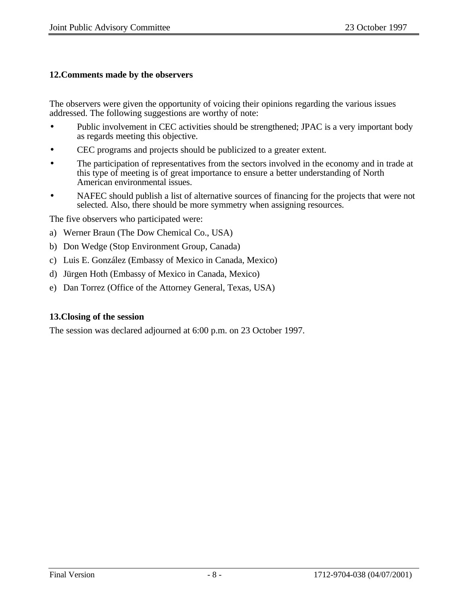### **12.Comments made by the observers**

The observers were given the opportunity of voicing their opinions regarding the various issues addressed. The following suggestions are worthy of note:

- Public involvement in CEC activities should be strengthened; JPAC is a very important body as regards meeting this objective.
- CEC programs and projects should be publicized to a greater extent.
- The participation of representatives from the sectors involved in the economy and in trade at this type of meeting is of great importance to ensure a better understanding of North American environmental issues.
- NAFEC should publish a list of alternative sources of financing for the projects that were not selected. Also, there should be more symmetry when assigning resources.

The five observers who participated were:

- a) Werner Braun (The Dow Chemical Co., USA)
- b) Don Wedge (Stop Environment Group, Canada)
- c) Luis E. González (Embassy of Mexico in Canada, Mexico)
- d) Jürgen Hoth (Embassy of Mexico in Canada, Mexico)
- e) Dan Torrez (Office of the Attorney General, Texas, USA)

#### **13.Closing of the session**

The session was declared adjourned at 6:00 p.m. on 23 October 1997.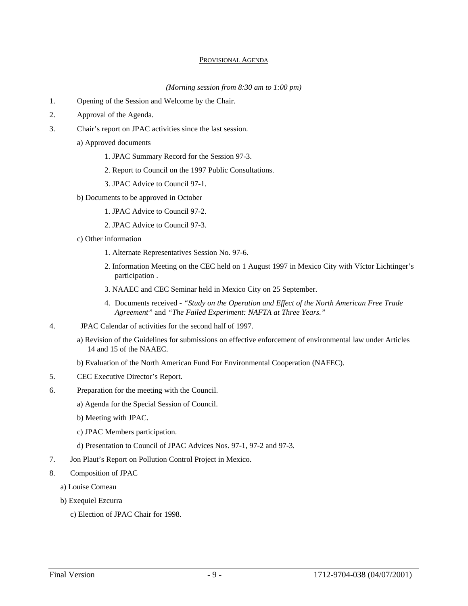#### PROVISIONAL AGENDA

*(Morning session from 8:30 am to 1:00 pm)*

- 1. Opening of the Session and Welcome by the Chair.
- 2. Approval of the Agenda.
- 3. Chair's report on JPAC activities since the last session.
	- a) Approved documents
		- 1. JPAC Summary Record for the Session 97-3.
		- 2. Report to Council on the 1997 Public Consultations.
		- 3. JPAC Advice to Council 97-1.
	- b) Documents to be approved in October
		- 1. JPAC Advice to Council 97-2.
		- 2. JPAC Advice to Council 97-3.
	- c) Other information
		- 1. Alternate Representatives Session No. 97-6.
		- 2. Information Meeting on the CEC held on 1 August 1997 in Mexico City with Víctor Lichtinger's participation .
		- 3. NAAEC and CEC Seminar held in Mexico City on 25 September.
		- 4. Documents received *"Study on the Operation and Effect of the North American Free Trade Agreement"* and *"The Failed Experiment: NAFTA at Three Years."*
- 4. JPAC Calendar of activities for the second half of 1997.
	- a) Revision of the Guidelines for submissions on effective enforcement of environmental law under Articles 14 and 15 of the NAAEC.
	- b) Evaluation of the North American Fund For Environmental Cooperation (NAFEC).
- 5. CEC Executive Director's Report.
- 6. Preparation for the meeting with the Council.
	- a) Agenda for the Special Session of Council.
	- b) Meeting with JPAC.
	- c) JPAC Members participation.
	- d) Presentation to Council of JPAC Advices Nos. 97-1, 97-2 and 97-3.
- 7. Jon Plaut's Report on Pollution Control Project in Mexico.
- 8. Composition of JPAC
	- a) Louise Comeau
	- b) Exequiel Ezcurra
		- c) Election of JPAC Chair for 1998.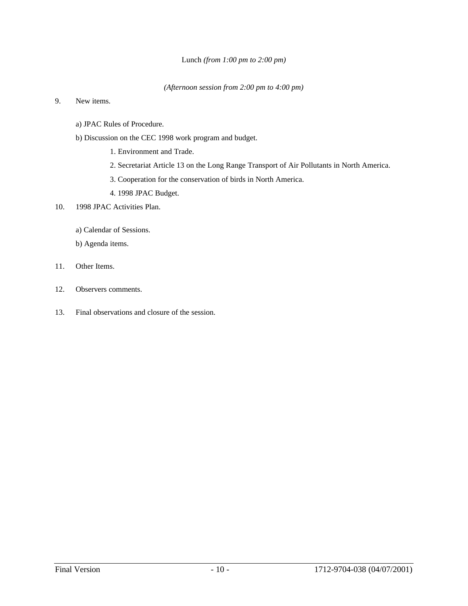#### Lunch *(from 1:00 pm to 2:00 pm)*

#### *(Afternoon session from 2:00 pm to 4:00 pm)*

#### 9. New items.

- a) JPAC Rules of Procedure.
- b) Discussion on the CEC 1998 work program and budget.
	- 1. Environment and Trade.
	- 2. Secretariat Article 13 on the Long Range Transport of Air Pollutants in North America.
	- 3. Cooperation for the conservation of birds in North America.
	- 4. 1998 JPAC Budget.
- 10. 1998 JPAC Activities Plan.
	- a) Calendar of Sessions.
	- b) Agenda items.
- 11. Other Items.
- 12. Observers comments.
- 13. Final observations and closure of the session.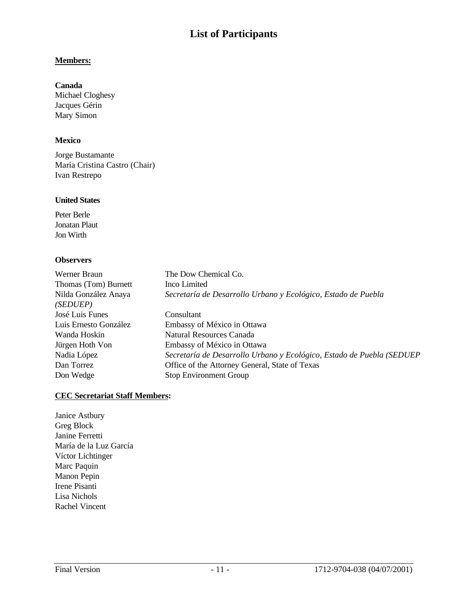# **List of Participants**

#### **Members:**

#### **Canada**

Michael Cloghesy Jacques Gérin Mary Simon

#### **Mexico**

Jorge Bustamante María Cristina Castro (Chair) Ivan Restrepo

#### **United States**

Peter Berle Jonatan Plaut Jon Wirth

#### **Observers**

| Werner Braun<br>Thomas (Tom) Burnett<br>Nilda González Anaya<br>( <i>SEDUEP</i> ) | The Dow Chemical Co.<br>Inco Limited<br>Secretaría de Desarrollo Urbano y Ecológico, Estado de Puebla |
|-----------------------------------------------------------------------------------|-------------------------------------------------------------------------------------------------------|
| José Luis Funes                                                                   | Consultant                                                                                            |
| Luis Ernesto González                                                             | Embassy of México in Ottawa                                                                           |
| Wanda Hoskin                                                                      | Natural Resources Canada                                                                              |
| Jürgen Hoth Von                                                                   | Embassy of México in Ottawa                                                                           |
| Nadia López                                                                       | Secretaría de Desarrollo Urbano y Ecológico, Estado de Puebla (SEDUEP                                 |
| Dan Torrez                                                                        | Office of the Attorney General, State of Texas                                                        |
| Don Wedge                                                                         | <b>Stop Environment Group</b>                                                                         |

### **CEC Secretariat Staff Members:**

Janice Astbury Greg Block Janine Ferretti María de la Luz García Víctor Lichtinger Marc Paquin Manon Pepin Irene Pisanti Lisa Nichols Rachel Vincent